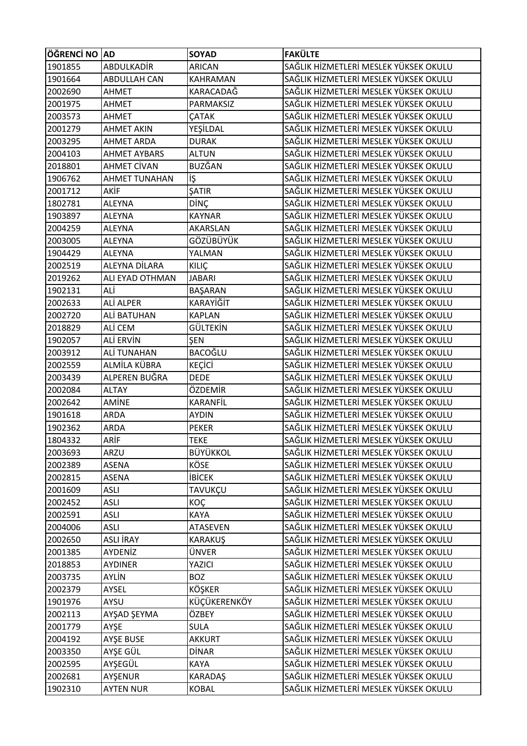| ÖĞRENCİ NO AD |                      | <b>SOYAD</b>    | <b>FAKÜLTE</b>                        |
|---------------|----------------------|-----------------|---------------------------------------|
| 1901855       | ABDULKADİR           | <b>ARICAN</b>   | SAĞLIK HİZMETLERİ MESLEK YÜKSEK OKULU |
| 1901664       | <b>ABDULLAH CAN</b>  | <b>KAHRAMAN</b> | SAĞLIK HİZMETLERİ MESLEK YÜKSEK OKULU |
| 2002690       | AHMET                | KARACADAĞ       | SAĞLIK HİZMETLERİ MESLEK YÜKSEK OKULU |
| 2001975       | <b>AHMET</b>         | PARMAKSIZ       | SAĞLIK HİZMETLERİ MESLEK YÜKSEK OKULU |
| 2003573       | <b>AHMET</b>         | <b>CATAK</b>    | SAĞLIK HİZMETLERİ MESLEK YÜKSEK OKULU |
| 2001279       | <b>AHMET AKIN</b>    | YEŞİLDAL        | SAĞLIK HİZMETLERİ MESLEK YÜKSEK OKULU |
| 2003295       | <b>AHMET ARDA</b>    | <b>DURAK</b>    | SAĞLIK HİZMETLERİ MESLEK YÜKSEK OKULU |
| 2004103       | <b>AHMET AYBARS</b>  | <b>ALTUN</b>    | SAĞLIK HİZMETLERİ MESLEK YÜKSEK OKULU |
| 2018801       | <b>AHMET CİVAN</b>   | BUZĞAN          | SAĞLIK HİZMETLERİ MESLEK YÜKSEK OKULU |
| 1906762       | <b>AHMET TUNAHAN</b> | iş              | SAĞLIK HİZMETLERİ MESLEK YÜKSEK OKULU |
| 2001712       | AKİF                 | ŞATIR           | SAĞLIK HİZMETLERİ MESLEK YÜKSEK OKULU |
| 1802781       | <b>ALEYNA</b>        | DİNÇ            | SAĞLIK HİZMETLERİ MESLEK YÜKSEK OKULU |
| 1903897       | <b>ALEYNA</b>        | <b>KAYNAR</b>   | SAĞLIK HİZMETLERİ MESLEK YÜKSEK OKULU |
| 2004259       | <b>ALEYNA</b>        | AKARSLAN        | SAĞLIK HİZMETLERİ MESLEK YÜKSEK OKULU |
| 2003005       | <b>ALEYNA</b>        | GÖZÜBÜYÜK       | SAĞLIK HİZMETLERİ MESLEK YÜKSEK OKULU |
| 1904429       | <b>ALEYNA</b>        | YALMAN          | SAĞLIK HİZMETLERİ MESLEK YÜKSEK OKULU |
| 2002519       | ALEYNA DİLARA        | <b>KILIÇ</b>    | SAĞLIK HİZMETLERİ MESLEK YÜKSEK OKULU |
| 2019262       | ALI EYAD OTHMAN      | <b>JABARI</b>   | SAĞLIK HİZMETLERİ MESLEK YÜKSEK OKULU |
| 1902131       | ALİ                  | BAŞARAN         | SAĞLIK HİZMETLERİ MESLEK YÜKSEK OKULU |
| 2002633       | ALİ ALPER            | KARAYİĞİT       | SAĞLIK HİZMETLERİ MESLEK YÜKSEK OKULU |
| 2002720       | ALİ BATUHAN          | <b>KAPLAN</b>   | SAĞLIK HİZMETLERİ MESLEK YÜKSEK OKULU |
| 2018829       | ALİ CEM              | GÜLTEKİN        | SAĞLIK HİZMETLERİ MESLEK YÜKSEK OKULU |
| 1902057       | ALİ ERVİN            | ŞEN             | SAĞLIK HİZMETLERİ MESLEK YÜKSEK OKULU |
| 2003912       | ALİ TUNAHAN          | BACOĞLU         | SAĞLIK HİZMETLERİ MESLEK YÜKSEK OKULU |
| 2002559       | ALMİLA KÜBRA         | <b>KEÇİCİ</b>   | SAĞLIK HİZMETLERİ MESLEK YÜKSEK OKULU |
| 2003439       | ALPEREN BUĞRA        | <b>DEDE</b>     | SAĞLIK HİZMETLERİ MESLEK YÜKSEK OKULU |
| 2002084       | <b>ALTAY</b>         | ÖZDEMİR         | SAĞLIK HİZMETLERİ MESLEK YÜKSEK OKULU |
| 2002642       | AMİNE                | KARANFİL        | SAĞLIK HİZMETLERİ MESLEK YÜKSEK OKULU |
| 1901618       | <b>ARDA</b>          | <b>AYDIN</b>    | SAĞLIK HİZMETLERİ MESLEK YÜKSEK OKULU |
| 1902362       | <b>ARDA</b>          | <b>PEKER</b>    | SAĞLIK HİZMETLERİ MESLEK YÜKSEK OKULU |
| 1804332       | ARİF                 | <b>TEKE</b>     | SAĞLIK HİZMETLERİ MESLEK YÜKSEK OKULU |
| 2003693       | ARZU                 | BÜYÜKKOL        | SAĞLIK HİZMETLERİ MESLEK YÜKSEK OKULU |
| 2002389       | <b>ASENA</b>         | KÖSE            | SAĞLIK HİZMETLERİ MESLEK YÜKSEK OKULU |
| 2002815       | ASENA                | <b>İBİCEK</b>   | SAĞLIK HİZMETLERİ MESLEK YÜKSEK OKULU |
| 2001609       | <b>ASLI</b>          | TAVUKÇU         | SAĞLIK HİZMETLERİ MESLEK YÜKSEK OKULU |
| 2002452       | <b>ASLI</b>          | KOÇ             | SAĞLIK HİZMETLERİ MESLEK YÜKSEK OKULU |
| 2002591       | <b>ASLI</b>          | <b>KAYA</b>     | SAĞLIK HİZMETLERİ MESLEK YÜKSEK OKULU |
| 2004006       | <b>ASLI</b>          | <b>ATASEVEN</b> | SAĞLIK HİZMETLERİ MESLEK YÜKSEK OKULU |
| 2002650       | ASLI İRAY            | <b>KARAKUŞ</b>  | SAĞLIK HİZMETLERİ MESLEK YÜKSEK OKULU |
| 2001385       | AYDENİZ              | ÜNVER           | SAĞLIK HİZMETLERİ MESLEK YÜKSEK OKULU |
| 2018853       | <b>AYDINER</b>       | YAZICI          | SAĞLIK HİZMETLERİ MESLEK YÜKSEK OKULU |
| 2003735       | <b>AYLİN</b>         | <b>BOZ</b>      | SAĞLIK HİZMETLERİ MESLEK YÜKSEK OKULU |
| 2002379       | AYSEL                | <b>KÖŞKER</b>   | SAĞLIK HİZMETLERİ MESLEK YÜKSEK OKULU |
| 1901976       | AYSU                 | KÜÇÜKERENKÖY    | SAĞLIK HİZMETLERİ MESLEK YÜKSEK OKULU |
| 2002113       | AYŞAD ŞEYMA          | ÖZBEY           | SAĞLIK HİZMETLERİ MESLEK YÜKSEK OKULU |
| 2001779       | AYŞE                 | <b>SULA</b>     | SAĞLIK HİZMETLERİ MESLEK YÜKSEK OKULU |
| 2004192       | AYŞE BUSE            | <b>AKKURT</b>   | SAĞLIK HİZMETLERİ MESLEK YÜKSEK OKULU |
| 2003350       | AYŞE GÜL             | <b>DİNAR</b>    | SAĞLIK HİZMETLERİ MESLEK YÜKSEK OKULU |
| 2002595       | AYŞEGÜL              | KAYA            | SAĞLIK HİZMETLERİ MESLEK YÜKSEK OKULU |
| 2002681       | AYŞENUR              | KARADAŞ         | SAĞLIK HİZMETLERİ MESLEK YÜKSEK OKULU |
| 1902310       | <b>AYTEN NUR</b>     | <b>KOBAL</b>    | SAĞLIK HİZMETLERİ MESLEK YÜKSEK OKULU |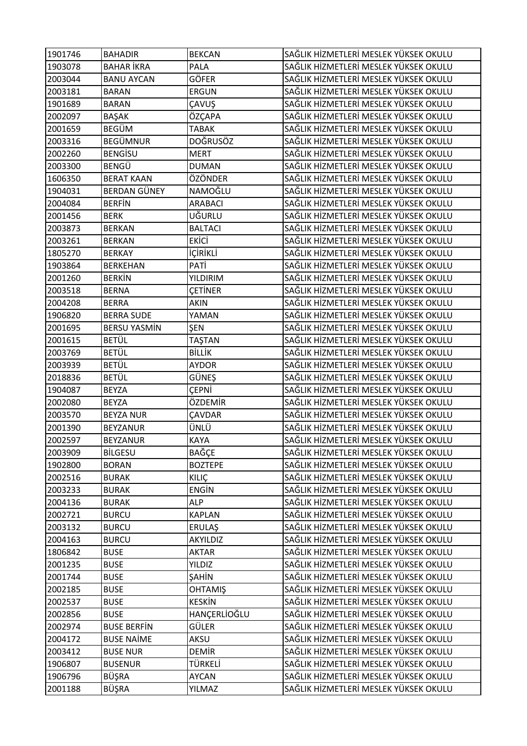| 1901746 | <b>BAHADIR</b>      | <b>BEKCAN</b>   | SAĞLIK HİZMETLERİ MESLEK YÜKSEK OKULU |
|---------|---------------------|-----------------|---------------------------------------|
| 1903078 | <b>BAHAR İKRA</b>   | PALA            | SAĞLIK HİZMETLERİ MESLEK YÜKSEK OKULU |
| 2003044 | <b>BANU AYCAN</b>   | <b>GÖFER</b>    | SAĞLIK HİZMETLERİ MESLEK YÜKSEK OKULU |
| 2003181 | <b>BARAN</b>        | <b>ERGUN</b>    | SAĞLIK HİZMETLERİ MESLEK YÜKSEK OKULU |
| 1901689 | <b>BARAN</b>        | ÇAVUŞ           | SAĞLIK HİZMETLERİ MESLEK YÜKSEK OKULU |
| 2002097 | <b>BAŞAK</b>        | ÖZÇAPA          | SAĞLIK HİZMETLERİ MESLEK YÜKSEK OKULU |
| 2001659 | <b>BEGÜM</b>        | <b>TABAK</b>    | SAĞLIK HİZMETLERİ MESLEK YÜKSEK OKULU |
| 2003316 | <b>BEGÜMNUR</b>     | <b>DOĞRUSÖZ</b> | SAĞLIK HİZMETLERİ MESLEK YÜKSEK OKULU |
| 2002260 | <b>BENGISU</b>      | <b>MERT</b>     | SAĞLIK HİZMETLERİ MESLEK YÜKSEK OKULU |
| 2003300 | <b>BENGÜ</b>        | <b>DUMAN</b>    | SAĞLIK HİZMETLERİ MESLEK YÜKSEK OKULU |
| 1606350 | <b>BERAT KAAN</b>   | ÖZÖNDER         | SAĞLIK HİZMETLERİ MESLEK YÜKSEK OKULU |
| 1904031 | <b>BERDAN GÜNEY</b> | NAMOĞLU         | SAĞLIK HİZMETLERİ MESLEK YÜKSEK OKULU |
| 2004084 | <b>BERFIN</b>       | ARABACI         | SAĞLIK HİZMETLERİ MESLEK YÜKSEK OKULU |
| 2001456 | <b>BERK</b>         | UĞURLU          | SAĞLIK HİZMETLERİ MESLEK YÜKSEK OKULU |
| 2003873 | <b>BERKAN</b>       | <b>BALTACI</b>  | SAĞLIK HİZMETLERİ MESLEK YÜKSEK OKULU |
| 2003261 | <b>BERKAN</b>       | <b>EKİCİ</b>    | SAĞLIK HİZMETLERİ MESLEK YÜKSEK OKULU |
| 1805270 | <b>BERKAY</b>       | <b>İÇİRİKLİ</b> | SAĞLIK HİZMETLERİ MESLEK YÜKSEK OKULU |
| 1903864 | <b>BERKEHAN</b>     | PATİ            | SAĞLIK HİZMETLERİ MESLEK YÜKSEK OKULU |
| 2001260 | <b>BERKIN</b>       | <b>YILDIRIM</b> | SAĞLIK HİZMETLERİ MESLEK YÜKSEK OKULU |
| 2003518 | <b>BERNA</b>        | <b>ÇETİNER</b>  | SAĞLIK HİZMETLERİ MESLEK YÜKSEK OKULU |
| 2004208 | <b>BERRA</b>        | <b>AKIN</b>     | SAĞLIK HİZMETLERİ MESLEK YÜKSEK OKULU |
| 1906820 | <b>BERRA SUDE</b>   | YAMAN           | SAĞLIK HİZMETLERİ MESLEK YÜKSEK OKULU |
| 2001695 | <b>BERSU YASMİN</b> | ŞEN             | SAĞLIK HİZMETLERİ MESLEK YÜKSEK OKULU |
| 2001615 | <b>BETÜL</b>        | TAŞTAN          | SAĞLIK HİZMETLERİ MESLEK YÜKSEK OKULU |
| 2003769 | <b>BETÜL</b>        | <b>BİLLİK</b>   | SAĞLIK HİZMETLERİ MESLEK YÜKSEK OKULU |
| 2003939 | <b>BETÜL</b>        | <b>AYDOR</b>    | SAĞLIK HİZMETLERİ MESLEK YÜKSEK OKULU |
| 2018836 | <b>BETÜL</b>        | GÜNEŞ           | SAĞLIK HİZMETLERİ MESLEK YÜKSEK OKULU |
| 1904087 | <b>BEYZA</b>        | <b>CEPNI</b>    | SAĞLIK HİZMETLERİ MESLEK YÜKSEK OKULU |
| 2002080 | <b>BEYZA</b>        | ÖZDEMİR         | SAĞLIK HİZMETLERİ MESLEK YÜKSEK OKULU |
| 2003570 | <b>BEYZA NUR</b>    | <b>ÇAVDAR</b>   | SAĞLIK HİZMETLERİ MESLEK YÜKSEK OKULU |
| 2001390 | <b>BEYZANUR</b>     | ÜNLÜ            | SAĞLIK HİZMETLERİ MESLEK YÜKSEK OKULU |
| 2002597 | <b>BEYZANUR</b>     | <b>KAYA</b>     | SAĞLIK HİZMETLERİ MESLEK YÜKSEK OKULU |
| 2003909 | <b>BİLGESU</b>      | <b>BAĞÇE</b>    | SAĞLIK HİZMETLERİ MESLEK YÜKSEK OKULU |
| 1902800 | <b>BORAN</b>        | <b>BOZTEPE</b>  | SAĞLIK HİZMETLERİ MESLEK YÜKSEK OKULU |
| 2002516 | <b>BURAK</b>        | <b>KILIÇ</b>    | SAĞLIK HİZMETLERİ MESLEK YÜKSEK OKULU |
| 2003233 | <b>BURAK</b>        | <b>ENGIN</b>    | SAĞLIK HİZMETLERİ MESLEK YÜKSEK OKULU |
| 2004136 | <b>BURAK</b>        | <b>ALP</b>      | SAĞLIK HİZMETLERİ MESLEK YÜKSEK OKULU |
| 2002721 | <b>BURCU</b>        | <b>KAPLAN</b>   | SAĞLIK HİZMETLERİ MESLEK YÜKSEK OKULU |
| 2003132 | <b>BURCU</b>        | ERULAŞ          | SAĞLIK HİZMETLERİ MESLEK YÜKSEK OKULU |
| 2004163 | <b>BURCU</b>        | AKYILDIZ        | SAĞLIK HİZMETLERİ MESLEK YÜKSEK OKULU |
| 1806842 | <b>BUSE</b>         | <b>AKTAR</b>    | SAĞLIK HİZMETLERİ MESLEK YÜKSEK OKULU |
| 2001235 | <b>BUSE</b>         | YILDIZ          | SAĞLIK HİZMETLERİ MESLEK YÜKSEK OKULU |
| 2001744 | <b>BUSE</b>         | ŞAHİN           | SAĞLIK HİZMETLERİ MESLEK YÜKSEK OKULU |
| 2002185 | <b>BUSE</b>         | <b>OHTAMIŞ</b>  | SAĞLIK HİZMETLERİ MESLEK YÜKSEK OKULU |
| 2002537 | <b>BUSE</b>         | <b>KESKİN</b>   | SAĞLIK HİZMETLERİ MESLEK YÜKSEK OKULU |
| 2002856 | <b>BUSE</b>         | HANÇERLİOĞLU    | SAĞLIK HİZMETLERİ MESLEK YÜKSEK OKULU |
| 2002974 | <b>BUSE BERFIN</b>  | GÜLER           | SAĞLIK HİZMETLERİ MESLEK YÜKSEK OKULU |
| 2004172 | <b>BUSE NAİME</b>   | AKSU            | SAĞLIK HİZMETLERİ MESLEK YÜKSEK OKULU |
| 2003412 | <b>BUSE NUR</b>     | <b>DEMIR</b>    | SAĞLIK HİZMETLERİ MESLEK YÜKSEK OKULU |
| 1906807 | <b>BUSENUR</b>      | TÜRKELİ         | SAĞLIK HİZMETLERİ MESLEK YÜKSEK OKULU |
| 1906796 | BÜŞRA               | <b>AYCAN</b>    | SAĞLIK HİZMETLERİ MESLEK YÜKSEK OKULU |
| 2001188 | BÜŞRA               | YILMAZ          | SAĞLIK HİZMETLERİ MESLEK YÜKSEK OKULU |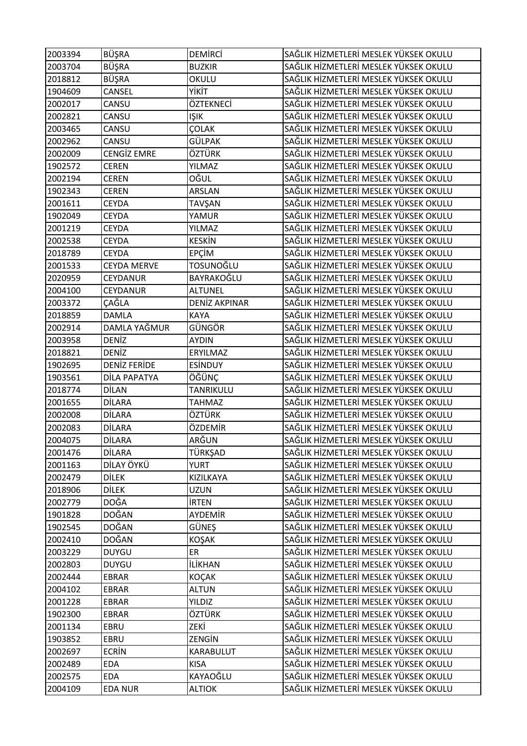| 2003394 | <b>BÜŞRA</b>        | <b>DEMIRCI</b>       | SAĞLIK HİZMETLERİ MESLEK YÜKSEK OKULU |
|---------|---------------------|----------------------|---------------------------------------|
| 2003704 | <b>BÜŞRA</b>        | <b>BUZKIR</b>        | SAĞLIK HİZMETLERİ MESLEK YÜKSEK OKULU |
| 2018812 | <b>BÜŞRA</b>        | OKULU                | SAĞLIK HİZMETLERİ MESLEK YÜKSEK OKULU |
| 1904609 | CANSEL              | ҮІКІТ                | SAĞLIK HİZMETLERİ MESLEK YÜKSEK OKULU |
| 2002017 | CANSU               | ÖZTEKNECİ            | SAĞLIK HİZMETLERİ MESLEK YÜKSEK OKULU |
| 2002821 | CANSU               | <b>IŞIK</b>          | SAĞLIK HİZMETLERİ MESLEK YÜKSEK OKULU |
| 2003465 | CANSU               | ÇOLAK                | SAĞLIK HİZMETLERİ MESLEK YÜKSEK OKULU |
| 2002962 | CANSU               | GÜLPAK               | SAĞLIK HİZMETLERİ MESLEK YÜKSEK OKULU |
| 2002009 | <b>CENGİZ EMRE</b>  | ÖZTÜRK               | SAĞLIK HİZMETLERİ MESLEK YÜKSEK OKULU |
| 1902572 | <b>CEREN</b>        | YILMAZ               | SAĞLIK HİZMETLERİ MESLEK YÜKSEK OKULU |
| 2002194 | <b>CEREN</b>        | OĞUL                 | SAĞLIK HİZMETLERİ MESLEK YÜKSEK OKULU |
| 1902343 | <b>CEREN</b>        | ARSLAN               | SAĞLIK HİZMETLERİ MESLEK YÜKSEK OKULU |
| 2001611 | <b>CEYDA</b>        | TAVŞAN               | SAĞLIK HİZMETLERİ MESLEK YÜKSEK OKULU |
| 1902049 | <b>CEYDA</b>        | YAMUR                | SAĞLIK HİZMETLERİ MESLEK YÜKSEK OKULU |
| 2001219 | <b>CEYDA</b>        | YILMAZ               | SAĞLIK HİZMETLERİ MESLEK YÜKSEK OKULU |
| 2002538 | <b>CEYDA</b>        | <b>KESKİN</b>        | SAĞLIK HİZMETLERİ MESLEK YÜKSEK OKULU |
| 2018789 | <b>CEYDA</b>        | EPÇİM                | SAĞLIK HİZMETLERİ MESLEK YÜKSEK OKULU |
| 2001533 | <b>CEYDA MERVE</b>  | TOSUNOĞLU            | SAĞLIK HİZMETLERİ MESLEK YÜKSEK OKULU |
| 2020959 | <b>CEYDANUR</b>     | BAYRAKOĞLU           | SAĞLIK HİZMETLERİ MESLEK YÜKSEK OKULU |
| 2004100 | CEYDANUR            | <b>ALTUNEL</b>       | SAĞLIK HİZMETLERİ MESLEK YÜKSEK OKULU |
| 2003372 | ÇAĞLA               | <b>DENİZ AKPINAR</b> | SAĞLIK HİZMETLERİ MESLEK YÜKSEK OKULU |
| 2018859 | <b>DAMLA</b>        | <b>KAYA</b>          | SAĞLIK HİZMETLERİ MESLEK YÜKSEK OKULU |
| 2002914 | DAMLA YAĞMUR        | GÜNGÖR               | SAĞLIK HİZMETLERİ MESLEK YÜKSEK OKULU |
| 2003958 | <b>DENİZ</b>        | <b>AYDIN</b>         | SAĞLIK HİZMETLERİ MESLEK YÜKSEK OKULU |
| 2018821 | <b>DENIZ</b>        | ERYILMAZ             | SAĞLIK HİZMETLERİ MESLEK YÜKSEK OKULU |
| 1902695 | <b>DENIZ FERIDE</b> | <b>ESİNDUY</b>       | SAĞLIK HİZMETLERİ MESLEK YÜKSEK OKULU |
| 1903561 | DİLA PAPATYA        | ÖĞÜNÇ                | SAĞLIK HİZMETLERİ MESLEK YÜKSEK OKULU |
| 2018774 | <b>DİLAN</b>        | TANRIKULU            | SAĞLIK HİZMETLERİ MESLEK YÜKSEK OKULU |
| 2001655 | <b>DİLARA</b>       | <b>TAHMAZ</b>        | SAĞLIK HİZMETLERİ MESLEK YÜKSEK OKULU |
| 2002008 | <b>DİLARA</b>       | ÖZTÜRK               | SAĞLIK HİZMETLERİ MESLEK YÜKSEK OKULU |
| 2002083 | <b>DİLARA</b>       | ÖZDEMİR              | SAĞLIK HİZMETLERİ MESLEK YÜKSEK OKULU |
| 2004075 | <b>DİLARA</b>       | ARĞUN                | SAĞLIK HİZMETLERİ MESLEK YÜKSEK OKULU |
| 2001476 | <b>DİLARA</b>       | TÜRKŞAD              | SAĞLIK HİZMETLERİ MESLEK YÜKSEK OKULU |
| 2001163 | DİLAY ÖYKÜ          | <b>YURT</b>          | SAĞLIK HİZMETLERİ MESLEK YÜKSEK OKULU |
| 2002479 | <b>DİLEK</b>        | KIZILKAYA            | SAĞLIK HİZMETLERİ MESLEK YÜKSEK OKULU |
| 2018906 | <b>DİLEK</b>        | UZUN                 | SAĞLIK HİZMETLERİ MESLEK YÜKSEK OKULU |
| 2002779 | <b>DOĞA</b>         | <b>IRTEN</b>         | SAĞLIK HİZMETLERİ MESLEK YÜKSEK OKULU |
| 1901828 | <b>DOĞAN</b>        | AYDEMİR              | SAĞLIK HİZMETLERİ MESLEK YÜKSEK OKULU |
| 1902545 | <b>DOĞAN</b>        | GÜNEŞ                | SAĞLIK HİZMETLERİ MESLEK YÜKSEK OKULU |
| 2002410 | <b>DOĞAN</b>        | <b>KOŞAK</b>         | SAĞLIK HİZMETLERİ MESLEK YÜKSEK OKULU |
| 2003229 | <b>DUYGU</b>        | ER                   | SAĞLIK HİZMETLERİ MESLEK YÜKSEK OKULU |
| 2002803 | <b>DUYGU</b>        | <b>İLİKHAN</b>       | SAĞLIK HİZMETLERİ MESLEK YÜKSEK OKULU |
| 2002444 | <b>EBRAR</b>        | KOÇAK                | SAĞLIK HİZMETLERİ MESLEK YÜKSEK OKULU |
| 2004102 | EBRAR               | <b>ALTUN</b>         | SAĞLIK HİZMETLERİ MESLEK YÜKSEK OKULU |
| 2001228 | EBRAR               | <b>YILDIZ</b>        | SAĞLIK HİZMETLERİ MESLEK YÜKSEK OKULU |
| 1902300 | EBRAR               | ÖZTÜRK               | SAĞLIK HİZMETLERİ MESLEK YÜKSEK OKULU |
| 2001134 | EBRU                | ZEKİ                 | SAĞLIK HİZMETLERİ MESLEK YÜKSEK OKULU |
| 1903852 | EBRU                | ZENGİN               | SAĞLIK HİZMETLERİ MESLEK YÜKSEK OKULU |
| 2002697 | <b>ECRIN</b>        | KARABULUT            | SAĞLIK HİZMETLERİ MESLEK YÜKSEK OKULU |
| 2002489 | <b>EDA</b>          | <b>KISA</b>          | SAĞLIK HİZMETLERİ MESLEK YÜKSEK OKULU |
| 2002575 | <b>EDA</b>          | KAYAOĞLU             | SAĞLIK HİZMETLERİ MESLEK YÜKSEK OKULU |
| 2004109 | <b>EDA NUR</b>      | <b>ALTIOK</b>        | SAĞLIK HİZMETLERİ MESLEK YÜKSEK OKULU |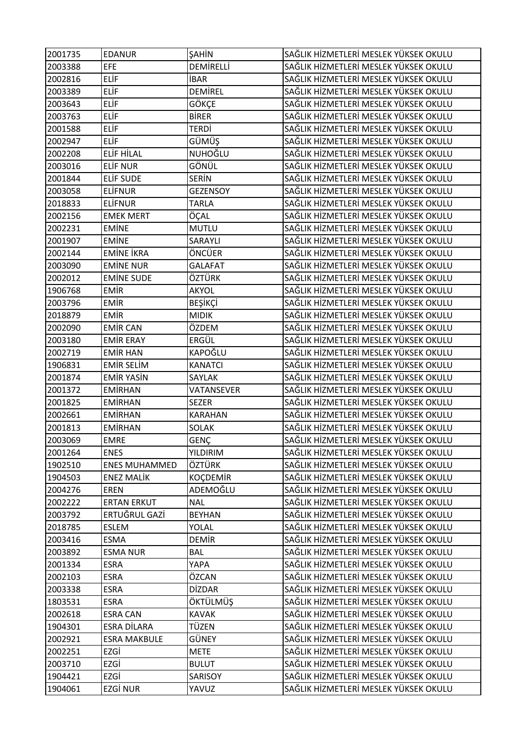| 2001735 | <b>EDANUR</b>               | <b>SAHİN</b>          | SAĞLIK HİZMETLERİ MESLEK YÜKSEK OKULU |
|---------|-----------------------------|-----------------------|---------------------------------------|
| 2003388 | <b>EFE</b>                  | DEMIRELLI             | SAĞLIK HİZMETLERİ MESLEK YÜKSEK OKULU |
| 2002816 | <b>ELİF</b>                 | <b>İBAR</b>           | SAĞLIK HİZMETLERİ MESLEK YÜKSEK OKULU |
| 2003389 | ELİF                        | DEMIREL               | SAĞLIK HİZMETLERİ MESLEK YÜKSEK OKULU |
| 2003643 | ELİF                        | GÖKÇE                 | SAĞLIK HİZMETLERİ MESLEK YÜKSEK OKULU |
| 2003763 | ELİF                        | <b>BIRER</b>          | SAĞLIK HİZMETLERİ MESLEK YÜKSEK OKULU |
| 2001588 | ELİF                        | TERDİ                 | SAĞLIK HİZMETLERİ MESLEK YÜKSEK OKULU |
| 2002947 | <b>ELİF</b>                 | GÜMÜŞ                 | SAĞLIK HİZMETLERİ MESLEK YÜKSEK OKULU |
| 2002208 | ELİF HİLAL                  | NUHOĞLU               | SAĞLIK HİZMETLERİ MESLEK YÜKSEK OKULU |
| 2003016 | <b>ELİF NUR</b>             | GÖNÜL                 | SAĞLIK HİZMETLERİ MESLEK YÜKSEK OKULU |
| 2001844 | ELIF SUDE                   | <b>SERIN</b>          | SAĞLIK HİZMETLERİ MESLEK YÜKSEK OKULU |
| 2003058 | <b>ELIFNUR</b>              | <b>GEZENSOY</b>       | SAĞLIK HİZMETLERİ MESLEK YÜKSEK OKULU |
| 2018833 | <b>ELIFNUR</b>              | TARLA                 | SAĞLIK HİZMETLERİ MESLEK YÜKSEK OKULU |
| 2002156 | <b>EMEK MERT</b>            | ÖÇAL                  | SAĞLIK HİZMETLERİ MESLEK YÜKSEK OKULU |
| 2002231 | <b>EMİNE</b>                | MUTLU                 | SAĞLIK HİZMETLERİ MESLEK YÜKSEK OKULU |
| 2001907 | <b>EMINE</b>                | SARAYLI               | SAĞLIK HİZMETLERİ MESLEK YÜKSEK OKULU |
| 2002144 | <b>EMİNE İKRA</b>           | ÖNCÜER                | SAĞLIK HİZMETLERİ MESLEK YÜKSEK OKULU |
| 2003090 | <b>EMINE NUR</b>            | <b>GALAFAT</b>        | SAĞLIK HİZMETLERİ MESLEK YÜKSEK OKULU |
| 2002012 | <b>EMINE SUDE</b>           | ÖZTÜRK                | SAĞLIK HİZMETLERİ MESLEK YÜKSEK OKULU |
| 1906768 | EMİR                        | AKYOL                 | SAĞLIK HİZMETLERİ MESLEK YÜKSEK OKULU |
| 2003796 | EMİR                        | <b>BEŞİKÇİ</b>        | SAĞLIK HİZMETLERİ MESLEK YÜKSEK OKULU |
| 2018879 | EMİR                        | <b>MIDIK</b>          | SAĞLIK HİZMETLERİ MESLEK YÜKSEK OKULU |
| 2002090 | <b>EMIR CAN</b>             | ÖZDEM                 | SAĞLIK HİZMETLERİ MESLEK YÜKSEK OKULU |
| 2003180 | EMIR ERAY                   | ERGÜL                 | SAĞLIK HİZMETLERİ MESLEK YÜKSEK OKULU |
| 2002719 | <b>EMİR HAN</b>             | KAPOĞLU               | SAĞLIK HİZMETLERİ MESLEK YÜKSEK OKULU |
| 1906831 | <b>EMIR SELIM</b>           | <b>KANATCI</b>        | SAĞLIK HİZMETLERİ MESLEK YÜKSEK OKULU |
| 2001874 | <b>EMIR YASIN</b>           | SAYLAK                | SAĞLIK HİZMETLERİ MESLEK YÜKSEK OKULU |
| 2001372 | <b>EMIRHAN</b>              | VATANSEVER            | SAĞLIK HİZMETLERİ MESLEK YÜKSEK OKULU |
| 2001825 | <b>EMİRHAN</b>              | <b>SEZER</b>          | SAĞLIK HİZMETLERİ MESLEK YÜKSEK OKULU |
| 2002661 | <b>EMİRHAN</b>              | <b>KARAHAN</b>        | SAĞLIK HİZMETLERİ MESLEK YÜKSEK OKULU |
| 2001813 | <b>EMIRHAN</b>              | SOLAK                 | SAĞLIK HİZMETLERİ MESLEK YÜKSEK OKULU |
| 2003069 | <b>EMRE</b>                 | <b>GENÇ</b>           | SAĞLIK HİZMETLERİ MESLEK YÜKSEK OKULU |
| 2001264 | <b>ENES</b>                 | <b>YILDIRIM</b>       | SAĞLIK HİZMETLERİ MESLEK YÜKSEK OKULU |
| 1902510 | <b>ENES MUHAMMED</b>        | ÖZTÜRK                | SAĞLIK HİZMETLERİ MESLEK YÜKSEK OKULU |
| 1904503 | <b>ENEZ MALİK</b>           | KOÇDEMİR              | SAĞLIK HİZMETLERİ MESLEK YÜKSEK OKULU |
| 2004276 | <b>EREN</b>                 | ADEMOĞLU              | SAĞLIK HİZMETLERİ MESLEK YÜKSEK OKULU |
| 2002222 | <b>ERTAN ERKUT</b>          | <b>NAL</b>            | SAĞLIK HİZMETLERİ MESLEK YÜKSEK OKULU |
| 2003792 | ERTUĞRUL GAZİ               | <b>BEYHAN</b>         | SAĞLIK HİZMETLERİ MESLEK YÜKSEK OKULU |
| 2018785 | ESLEM                       | YOLAL                 | SAĞLIK HİZMETLERİ MESLEK YÜKSEK OKULU |
| 2003416 | <b>ESMA</b>                 | <b>DEMIR</b>          | SAĞLIK HİZMETLERİ MESLEK YÜKSEK OKULU |
| 2003892 | <b>ESMA NUR</b>             | <b>BAL</b>            | SAĞLIK HİZMETLERİ MESLEK YÜKSEK OKULU |
| 2001334 | <b>ESRA</b>                 | YAPA                  | SAĞLIK HİZMETLERİ MESLEK YÜKSEK OKULU |
| 2002103 | <b>ESRA</b>                 | ÖZCAN                 | SAĞLIK HİZMETLERİ MESLEK YÜKSEK OKULU |
| 2003338 | <b>ESRA</b>                 | <b>DİZDAR</b>         | SAĞLIK HİZMETLERİ MESLEK YÜKSEK OKULU |
|         |                             |                       | SAĞLIK HİZMETLERİ MESLEK YÜKSEK OKULU |
| 1803531 | <b>ESRA</b>                 | ÖKTÜLMÜŞ              | SAĞLIK HİZMETLERİ MESLEK YÜKSEK OKULU |
| 2002618 | <b>ESRA CAN</b>             | <b>KAVAK</b><br>TÜZEN | SAĞLIK HİZMETLERİ MESLEK YÜKSEK OKULU |
| 1904301 | ESRA DİLARA                 | GÜNEY                 | SAĞLIK HİZMETLERİ MESLEK YÜKSEK OKULU |
| 2002921 | <b>ESRA MAKBULE</b><br>EZGİ |                       | SAĞLIK HİZMETLERİ MESLEK YÜKSEK OKULU |
| 2002251 | EZGİ                        | <b>METE</b>           | SAĞLIK HİZMETLERİ MESLEK YÜKSEK OKULU |
| 2003710 |                             | <b>BULUT</b>          |                                       |
| 1904421 | EZGİ                        | SARISOY               | SAĞLIK HİZMETLERİ MESLEK YÜKSEK OKULU |
| 1904061 | <b>EZGİ NUR</b>             | YAVUZ                 | SAĞLIK HİZMETLERİ MESLEK YÜKSEK OKULU |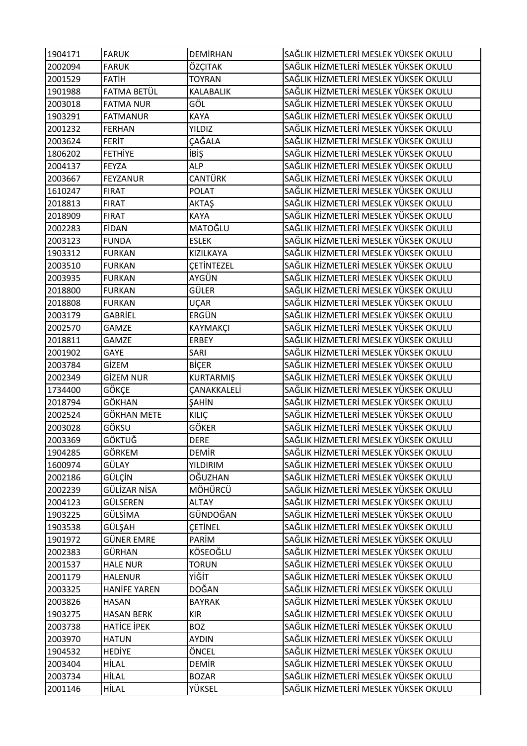| 1904171 | <b>FARUK</b>        | DEMIRHAN         | SAĞLIK HİZMETLERİ MESLEK YÜKSEK OKULU |
|---------|---------------------|------------------|---------------------------------------|
| 2002094 | <b>FARUK</b>        | ÖZÇITAK          | SAĞLIK HİZMETLERİ MESLEK YÜKSEK OKULU |
| 2001529 | <b>FATIH</b>        | <b>TOYRAN</b>    | SAĞLIK HİZMETLERİ MESLEK YÜKSEK OKULU |
| 1901988 | FATMA BETÜL         | KALABALIK        | SAĞLIK HİZMETLERİ MESLEK YÜKSEK OKULU |
| 2003018 | <b>FATMA NUR</b>    | GÖL              | SAĞLIK HİZMETLERİ MESLEK YÜKSEK OKULU |
| 1903291 | <b>FATMANUR</b>     | <b>KAYA</b>      | SAĞLIK HİZMETLERİ MESLEK YÜKSEK OKULU |
| 2001232 | <b>FERHAN</b>       | <b>YILDIZ</b>    | SAĞLIK HİZMETLERİ MESLEK YÜKSEK OKULU |
| 2003624 | <b>FERIT</b>        | ÇAĞALA           | SAĞLIK HİZMETLERİ MESLEK YÜKSEK OKULU |
| 1806202 | <b>FETHIYE</b>      | <b>i</b> BİŞ     | SAĞLIK HİZMETLERİ MESLEK YÜKSEK OKULU |
| 2004137 | <b>FEYZA</b>        | <b>ALP</b>       | SAĞLIK HİZMETLERİ MESLEK YÜKSEK OKULU |
| 2003667 | <b>FEYZANUR</b>     | <b>CANTÜRK</b>   | SAĞLIK HİZMETLERİ MESLEK YÜKSEK OKULU |
| 1610247 | <b>FIRAT</b>        | <b>POLAT</b>     | SAĞLIK HİZMETLERİ MESLEK YÜKSEK OKULU |
| 2018813 | <b>FIRAT</b>        | AKTAŞ            | SAĞLIK HİZMETLERİ MESLEK YÜKSEK OKULU |
| 2018909 | <b>FIRAT</b>        | <b>KAYA</b>      | SAĞLIK HİZMETLERİ MESLEK YÜKSEK OKULU |
| 2002283 | <b>FİDAN</b>        | MATOĞLU          | SAĞLIK HİZMETLERİ MESLEK YÜKSEK OKULU |
| 2003123 | <b>FUNDA</b>        | <b>ESLEK</b>     | SAĞLIK HİZMETLERİ MESLEK YÜKSEK OKULU |
| 1903312 | <b>FURKAN</b>       | KIZILKAYA        | SAĞLIK HİZMETLERİ MESLEK YÜKSEK OKULU |
| 2003510 | <b>FURKAN</b>       | CETINTEZEL       | SAĞLIK HİZMETLERİ MESLEK YÜKSEK OKULU |
| 2003935 | <b>FURKAN</b>       | AYGÜN            | SAĞLIK HİZMETLERİ MESLEK YÜKSEK OKULU |
| 2018800 | <b>FURKAN</b>       | GÜLER            | SAĞLIK HİZMETLERİ MESLEK YÜKSEK OKULU |
| 2018808 | <b>FURKAN</b>       | UÇAR             | SAĞLIK HİZMETLERİ MESLEK YÜKSEK OKULU |
| 2003179 | GABRIEL             | ERGÜN            | SAĞLIK HİZMETLERİ MESLEK YÜKSEK OKULU |
| 2002570 | GAMZE               | KAYMAKÇI         | SAĞLIK HİZMETLERİ MESLEK YÜKSEK OKULU |
| 2018811 | <b>GAMZE</b>        | <b>ERBEY</b>     | SAĞLIK HİZMETLERİ MESLEK YÜKSEK OKULU |
| 2001902 | GAYE                | SARI             | SAĞLIK HİZMETLERİ MESLEK YÜKSEK OKULU |
| 2003784 | GİZEM               | <b>BİÇER</b>     | SAĞLIK HİZMETLERİ MESLEK YÜKSEK OKULU |
| 2002349 | <b>GİZEM NUR</b>    | <b>KURTARMIŞ</b> | SAĞLIK HİZMETLERİ MESLEK YÜKSEK OKULU |
| 1734400 | GÖKÇE               | ÇANAKKALELİ      | SAĞLIK HİZMETLERİ MESLEK YÜKSEK OKULU |
| 2018794 | GÖKHAN              | ŞAHİN            | SAĞLIK HİZMETLERİ MESLEK YÜKSEK OKULU |
| 2002524 | <b>GÖKHAN METE</b>  | KILIÇ            | SAĞLIK HİZMETLERİ MESLEK YÜKSEK OKULU |
| 2003028 | GÖKSU               | <b>GÖKER</b>     | SAĞLIK HİZMETLERİ MESLEK YÜKSEK OKULU |
| 2003369 | <b>GÖKTUĞ</b>       | <b>DERE</b>      | SAĞLIK HİZMETLERİ MESLEK YÜKSEK OKULU |
| 1904285 | GÖRKEM              | <b>DEMİR</b>     | SAĞLIK HİZMETLERİ MESLEK YÜKSEK OKULU |
| 1600974 | GÜLAY               | <b>YILDIRIM</b>  | SAĞLIK HİZMETLERİ MESLEK YÜKSEK OKULU |
| 2002186 | GÜLÇİN              | OĞUZHAN          | SAĞLIK HİZMETLERİ MESLEK YÜKSEK OKULU |
| 2002239 | GÜLİZAR NİSA        | MÖHÜRCÜ          | SAĞLIK HİZMETLERİ MESLEK YÜKSEK OKULU |
| 2004123 | GÜLSEREN            | <b>ALTAY</b>     | SAĞLIK HİZMETLERİ MESLEK YÜKSEK OKULU |
| 1903225 | GÜLSİMA             | GÜNDOĞAN         | SAĞLIK HİZMETLERİ MESLEK YÜKSEK OKULU |
| 1903538 | GÜLŞAH              | <b>CETINEL</b>   | SAĞLIK HİZMETLERİ MESLEK YÜKSEK OKULU |
| 1901972 | <b>GÜNER EMRE</b>   | PARİM            | SAĞLIK HİZMETLERİ MESLEK YÜKSEK OKULU |
| 2002383 | GÜRHAN              | KÖSEOĞLU         | SAĞLIK HİZMETLERİ MESLEK YÜKSEK OKULU |
| 2001537 | <b>HALE NUR</b>     | <b>TORUN</b>     | SAĞLIK HİZMETLERİ MESLEK YÜKSEK OKULU |
| 2001179 | <b>HALENUR</b>      | YİĞİT            | SAĞLIK HİZMETLERİ MESLEK YÜKSEK OKULU |
| 2003325 | <b>HANIFE YAREN</b> | <b>DOĞAN</b>     | SAĞLIK HİZMETLERİ MESLEK YÜKSEK OKULU |
| 2003826 | <b>HASAN</b>        | <b>BAYRAK</b>    | SAĞLIK HİZMETLERİ MESLEK YÜKSEK OKULU |
| 1903275 | <b>HASAN BERK</b>   | <b>KIR</b>       | SAĞLIK HİZMETLERİ MESLEK YÜKSEK OKULU |
| 2003738 | <b>HATICE IPEK</b>  | <b>BOZ</b>       | SAĞLIK HİZMETLERİ MESLEK YÜKSEK OKULU |
| 2003970 | <b>HATUN</b>        | <b>AYDIN</b>     | SAĞLIK HİZMETLERİ MESLEK YÜKSEK OKULU |
| 1904532 | <b>HEDIYE</b>       | ÖNCEL            | SAĞLIK HİZMETLERİ MESLEK YÜKSEK OKULU |
| 2003404 | HİLAL               | <b>DEMIR</b>     | SAĞLIK HİZMETLERİ MESLEK YÜKSEK OKULU |
| 2003734 | HİLAL               | <b>BOZAR</b>     | SAĞLIK HİZMETLERİ MESLEK YÜKSEK OKULU |
| 2001146 | HİLAL               | YÜKSEL           | SAĞLIK HİZMETLERİ MESLEK YÜKSEK OKULU |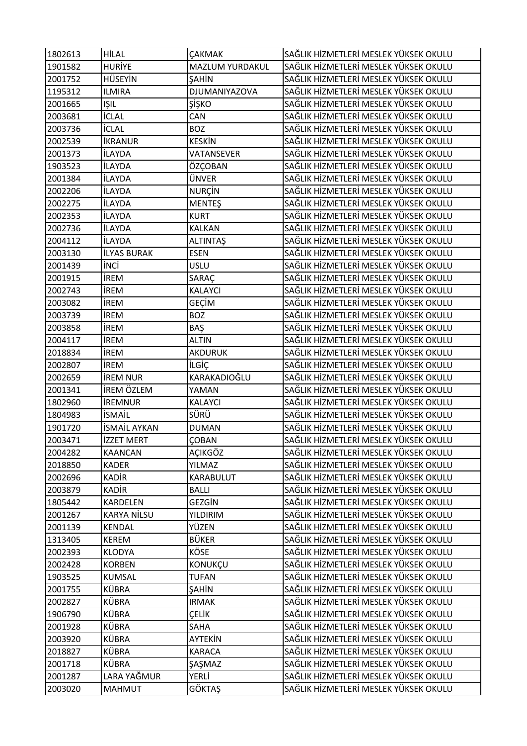| 1802613 | <b>HİLAL</b>       | <b>ÇAKMAK</b>   | SAĞLIK HİZMETLERİ MESLEK YÜKSEK OKULU |
|---------|--------------------|-----------------|---------------------------------------|
| 1901582 | <b>HURIYE</b>      | MAZLUM YURDAKUL | SAĞLIK HİZMETLERİ MESLEK YÜKSEK OKULU |
| 2001752 | <b>HÜSEYİN</b>     | ŞAHİN           | SAĞLIK HİZMETLERİ MESLEK YÜKSEK OKULU |
| 1195312 | <b>ILMIRA</b>      | DJUMANIYAZOVA   | SAĞLIK HİZMETLERİ MESLEK YÜKSEK OKULU |
| 2001665 | <b>IŞIL</b>        | ŞİŞKO           | SAĞLIK HİZMETLERİ MESLEK YÜKSEK OKULU |
| 2003681 | <b>İCLAL</b>       | CAN             | SAĞLIK HİZMETLERİ MESLEK YÜKSEK OKULU |
| 2003736 | <b>İCLAL</b>       | <b>BOZ</b>      | SAĞLIK HİZMETLERİ MESLEK YÜKSEK OKULU |
| 2002539 | <b>İKRANUR</b>     | <b>KESKİN</b>   | SAĞLIK HİZMETLERİ MESLEK YÜKSEK OKULU |
| 2001373 | <b>İLAYDA</b>      | VATANSEVER      | SAĞLIK HİZMETLERİ MESLEK YÜKSEK OKULU |
| 1903523 | <b>İLAYDA</b>      | ÖZÇOBAN         | SAĞLIK HİZMETLERİ MESLEK YÜKSEK OKULU |
| 2001384 | <b>İLAYDA</b>      | ÜNVER           | SAĞLIK HİZMETLERİ MESLEK YÜKSEK OKULU |
| 2002206 | <b>İLAYDA</b>      | <b>NURÇİN</b>   | SAĞLIK HİZMETLERİ MESLEK YÜKSEK OKULU |
| 2002275 | <b>İLAYDA</b>      | <b>MENTEŞ</b>   | SAĞLIK HİZMETLERİ MESLEK YÜKSEK OKULU |
| 2002353 | <b>İLAYDA</b>      | <b>KURT</b>     | SAĞLIK HİZMETLERİ MESLEK YÜKSEK OKULU |
| 2002736 | <b>İLAYDA</b>      | KALKAN          | SAĞLIK HİZMETLERİ MESLEK YÜKSEK OKULU |
| 2004112 | <b>İLAYDA</b>      | <b>ALTINTAŞ</b> | SAĞLIK HİZMETLERİ MESLEK YÜKSEK OKULU |
| 2003130 | <b>İLYAS BURAK</b> | <b>ESEN</b>     | SAĞLIK HİZMETLERİ MESLEK YÜKSEK OKULU |
| 2001439 | <b>INCI</b>        | <b>USLU</b>     | SAĞLIK HİZMETLERİ MESLEK YÜKSEK OKULU |
| 2001915 | <b>İREM</b>        | SARAÇ           | SAĞLIK HİZMETLERİ MESLEK YÜKSEK OKULU |
| 2002743 | <b>İREM</b>        | KALAYCI         | SAĞLIK HİZMETLERİ MESLEK YÜKSEK OKULU |
| 2003082 | <b>İREM</b>        | GEÇİM           | SAĞLIK HİZMETLERİ MESLEK YÜKSEK OKULU |
| 2003739 | <b>İREM</b>        | <b>BOZ</b>      | SAĞLIK HİZMETLERİ MESLEK YÜKSEK OKULU |
| 2003858 | <b>İREM</b>        | BAŞ             | SAĞLIK HİZMETLERİ MESLEK YÜKSEK OKULU |
| 2004117 | <b>İREM</b>        | <b>ALTIN</b>    | SAĞLIK HİZMETLERİ MESLEK YÜKSEK OKULU |
| 2018834 | <b>IREM</b>        | AKDURUK         | SAĞLIK HİZMETLERİ MESLEK YÜKSEK OKULU |
| 2002807 | <b>IREM</b>        | <b>İLGİÇ</b>    | SAĞLIK HİZMETLERİ MESLEK YÜKSEK OKULU |
| 2002659 | <b>IREM NUR</b>    | KARAKADIOĞLU    | SAĞLIK HİZMETLERİ MESLEK YÜKSEK OKULU |
| 2001341 | İREM ÖZLEM         | YAMAN           | SAĞLIK HİZMETLERİ MESLEK YÜKSEK OKULU |
| 1802960 | <b>IREMNUR</b>     | KALAYCI         | SAĞLIK HİZMETLERİ MESLEK YÜKSEK OKULU |
| 1804983 | <b>İSMAİL</b>      | SÜRÜ            | SAĞLIK HİZMETLERİ MESLEK YÜKSEK OKULU |
| 1901720 | İSMAİL AYKAN       | <b>DUMAN</b>    | SAĞLIK HİZMETLERİ MESLEK YÜKSEK OKULU |
| 2003471 | <b>İZZET MERT</b>  | <b>ÇOBAN</b>    | SAĞLIK HİZMETLERİ MESLEK YÜKSEK OKULU |
| 2004282 | <b>KAANCAN</b>     | AÇIKGÖZ         | SAĞLIK HİZMETLERİ MESLEK YÜKSEK OKULU |
| 2018850 | <b>KADER</b>       | YILMAZ          | SAĞLIK HİZMETLERİ MESLEK YÜKSEK OKULU |
| 2002696 | <b>KADIR</b>       | KARABULUT       | SAĞLIK HİZMETLERİ MESLEK YÜKSEK OKULU |
| 2003879 | <b>KADIR</b>       | <b>BALLI</b>    | SAĞLIK HİZMETLERİ MESLEK YÜKSEK OKULU |
| 1805442 | KARDELEN           | GEZGİN          | SAĞLIK HİZMETLERİ MESLEK YÜKSEK OKULU |
| 2001267 | <b>KARYA NİLSU</b> | YILDIRIM        | SAĞLIK HİZMETLERİ MESLEK YÜKSEK OKULU |
| 2001139 | KENDAL             | YÜZEN           | SAĞLIK HİZMETLERİ MESLEK YÜKSEK OKULU |
| 1313405 | <b>KEREM</b>       | <b>BÜKER</b>    | SAĞLIK HİZMETLERİ MESLEK YÜKSEK OKULU |
| 2002393 | KLODYA             | KÖSE            | SAĞLIK HİZMETLERİ MESLEK YÜKSEK OKULU |
| 2002428 | <b>KORBEN</b>      | KONUKÇU         | SAĞLIK HİZMETLERİ MESLEK YÜKSEK OKULU |
| 1903525 | <b>KUMSAL</b>      | <b>TUFAN</b>    | SAĞLIK HİZMETLERİ MESLEK YÜKSEK OKULU |
| 2001755 | <b>KÜBRA</b>       | <b>ŞAHİN</b>    | SAĞLIK HİZMETLERİ MESLEK YÜKSEK OKULU |
| 2002827 | KÜBRA              | <b>IRMAK</b>    | SAĞLIK HİZMETLERİ MESLEK YÜKSEK OKULU |
| 1906790 | <b>KÜBRA</b>       | ÇELİK           | SAĞLIK HİZMETLERİ MESLEK YÜKSEK OKULU |
| 2001928 | <b>KÜBRA</b>       | SAHA            | SAĞLIK HİZMETLERİ MESLEK YÜKSEK OKULU |
| 2003920 | <b>KÜBRA</b>       | AYTEKİN         | SAĞLIK HİZMETLERİ MESLEK YÜKSEK OKULU |
| 2018827 | KÜBRA              | <b>KARACA</b>   | SAĞLIK HİZMETLERİ MESLEK YÜKSEK OKULU |
| 2001718 | <b>KÜBRA</b>       | ŞAŞMAZ          | SAĞLIK HİZMETLERİ MESLEK YÜKSEK OKULU |
| 2001287 | LARA YAĞMUR        | YERLİ           | SAĞLIK HİZMETLERİ MESLEK YÜKSEK OKULU |
| 2003020 | MAHMUT             | <b>GÖKTAŞ</b>   | SAĞLIK HİZMETLERİ MESLEK YÜKSEK OKULU |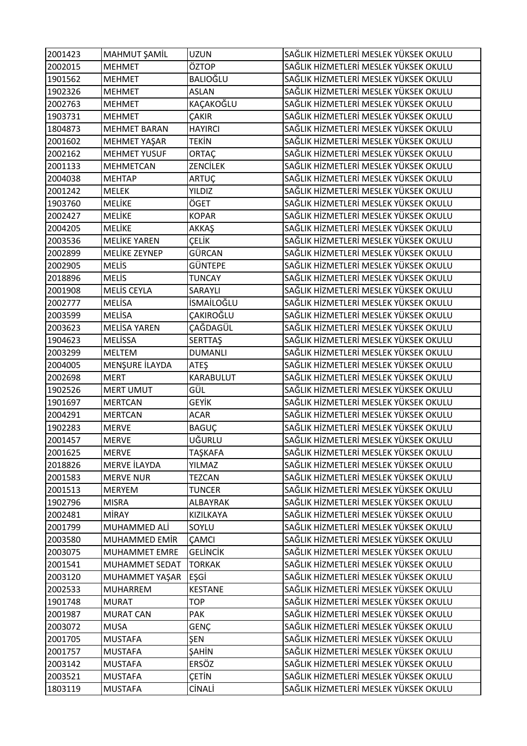| 2001423 | MAHMUT ŞAMİL        | UZUN              | SAĞLIK HİZMETLERİ MESLEK YÜKSEK OKULU |
|---------|---------------------|-------------------|---------------------------------------|
| 2002015 | <b>MEHMET</b>       | ÖZTOP             | SAĞLIK HİZMETLERİ MESLEK YÜKSEK OKULU |
| 1901562 | <b>MEHMET</b>       | BALIOĞLU          | SAĞLIK HİZMETLERİ MESLEK YÜKSEK OKULU |
| 1902326 | <b>MEHMET</b>       | <b>ASLAN</b>      | SAĞLIK HİZMETLERİ MESLEK YÜKSEK OKULU |
| 2002763 | <b>MEHMET</b>       | KAÇAKOĞLU         | SAĞLIK HİZMETLERİ MESLEK YÜKSEK OKULU |
| 1903731 | <b>MEHMET</b>       | ÇAKIR             | SAĞLIK HİZMETLERİ MESLEK YÜKSEK OKULU |
| 1804873 | <b>MEHMET BARAN</b> | <b>HAYIRCI</b>    | SAĞLIK HİZMETLERİ MESLEK YÜKSEK OKULU |
| 2001602 | MEHMET YAŞAR        | TEKİN             | SAĞLIK HİZMETLERİ MESLEK YÜKSEK OKULU |
| 2002162 | <b>MEHMET YUSUF</b> | ORTAÇ             | SAĞLIK HİZMETLERİ MESLEK YÜKSEK OKULU |
| 2001133 | <b>MEHMETCAN</b>    | ZENCİLEK          | SAĞLIK HİZMETLERİ MESLEK YÜKSEK OKULU |
| 2004038 | <b>MEHTAP</b>       | ARTUÇ             | SAĞLIK HİZMETLERİ MESLEK YÜKSEK OKULU |
| 2001242 | <b>MELEK</b>        | YILDIZ            | SAĞLIK HİZMETLERİ MESLEK YÜKSEK OKULU |
| 1903760 | MELİKE              | ÖGET              | SAĞLIK HİZMETLERİ MESLEK YÜKSEK OKULU |
| 2002427 | MELİKE              | <b>KOPAR</b>      | SAĞLIK HİZMETLERİ MESLEK YÜKSEK OKULU |
| 2004205 | MELİKE              | AKKAŞ             | SAĞLIK HİZMETLERİ MESLEK YÜKSEK OKULU |
| 2003536 | <b>MELİKE YAREN</b> | ÇELİK             | SAĞLIK HİZMETLERİ MESLEK YÜKSEK OKULU |
| 2002899 | MELİKE ZEYNEP       | GÜRCAN            | SAĞLIK HİZMETLERİ MESLEK YÜKSEK OKULU |
| 2002905 | <b>MELIS</b>        | GÜNTEPE           | SAĞLIK HİZMETLERİ MESLEK YÜKSEK OKULU |
| 2018896 | <b>MELIS</b>        | <b>TUNCAY</b>     | SAĞLIK HİZMETLERİ MESLEK YÜKSEK OKULU |
| 2001908 | <b>MELİS CEYLA</b>  | SARAYLI           | SAĞLIK HİZMETLERİ MESLEK YÜKSEK OKULU |
| 2002777 | <b>MELİSA</b>       | <b>İSMAİLOĞLU</b> | SAĞLIK HİZMETLERİ MESLEK YÜKSEK OKULU |
| 2003599 | <b>MELISA</b>       | ÇAKIROĞLU         | SAĞLIK HİZMETLERİ MESLEK YÜKSEK OKULU |
| 2003623 | <b>MELİSA YAREN</b> | ÇAĞDAGÜL          | SAĞLIK HİZMETLERİ MESLEK YÜKSEK OKULU |
| 1904623 | <b>MELISSA</b>      | <b>SERTTAŞ</b>    | SAĞLIK HİZMETLERİ MESLEK YÜKSEK OKULU |
| 2003299 | <b>MELTEM</b>       | <b>DUMANLI</b>    | SAĞLIK HİZMETLERİ MESLEK YÜKSEK OKULU |
| 2004005 | MENŞURE İLAYDA      | ATEŞ              | SAĞLIK HİZMETLERİ MESLEK YÜKSEK OKULU |
| 2002698 | <b>MERT</b>         | KARABULUT         | SAĞLIK HİZMETLERİ MESLEK YÜKSEK OKULU |
| 1902526 | <b>MERT UMUT</b>    | GÜL               | SAĞLIK HİZMETLERİ MESLEK YÜKSEK OKULU |
| 1901697 | <b>MERTCAN</b>      | GEYİK             | SAĞLIK HİZMETLERİ MESLEK YÜKSEK OKULU |
| 2004291 | <b>MERTCAN</b>      | <b>ACAR</b>       | SAĞLIK HİZMETLERİ MESLEK YÜKSEK OKULU |
| 1902283 | <b>MERVE</b>        | BAGUÇ             | SAĞLIK HİZMETLERİ MESLEK YÜKSEK OKULU |
| 2001457 | <b>MERVE</b>        | UĞURLU            | SAĞLIK HİZMETLERİ MESLEK YÜKSEK OKULU |
| 2001625 | <b>MERVE</b>        | TAŞKAFA           | SAĞLIK HİZMETLERİ MESLEK YÜKSEK OKULU |
| 2018826 | MERVE İLAYDA        | YILMAZ            | SAĞLIK HİZMETLERİ MESLEK YÜKSEK OKULU |
| 2001583 | <b>MERVE NUR</b>    | <b>TEZCAN</b>     | SAĞLIK HİZMETLERİ MESLEK YÜKSEK OKULU |
| 2001513 | <b>MERYEM</b>       | <b>TUNCER</b>     | SAĞLIK HİZMETLERİ MESLEK YÜKSEK OKULU |
| 1902796 | <b>MISRA</b>        | ALBAYRAK          | SAĞLIK HİZMETLERİ MESLEK YÜKSEK OKULU |
| 2002481 | <b>MİRAY</b>        | KIZILKAYA         | SAĞLIK HİZMETLERİ MESLEK YÜKSEK OKULU |
| 2001799 | MUHAMMED ALİ        | SOYLU             | SAĞLIK HİZMETLERİ MESLEK YÜKSEK OKULU |
| 2003580 | MUHAMMED EMİR       | ÇAMCI             | SAĞLIK HİZMETLERİ MESLEK YÜKSEK OKULU |
| 2003075 | MUHAMMET EMRE       | <b>GELINCIK</b>   | SAĞLIK HİZMETLERİ MESLEK YÜKSEK OKULU |
| 2001541 | MUHAMMET SEDAT      | <b>TORKAK</b>     | SAĞLIK HİZMETLERİ MESLEK YÜKSEK OKULU |
| 2003120 | MUHAMMET YAŞAR      | EŞGİ              | SAĞLIK HİZMETLERİ MESLEK YÜKSEK OKULU |
| 2002533 | <b>MUHARREM</b>     | <b>KESTANE</b>    | SAĞLIK HİZMETLERİ MESLEK YÜKSEK OKULU |
| 1901748 | <b>MURAT</b>        | TOP               | SAĞLIK HİZMETLERİ MESLEK YÜKSEK OKULU |
| 2001987 | <b>MURAT CAN</b>    | PAK               | SAĞLIK HİZMETLERİ MESLEK YÜKSEK OKULU |
| 2003072 | <b>MUSA</b>         | GENÇ              | SAĞLIK HİZMETLERİ MESLEK YÜKSEK OKULU |
| 2001705 | <b>MUSTAFA</b>      | ŞEN               | SAĞLIK HİZMETLERİ MESLEK YÜKSEK OKULU |
| 2001757 | <b>MUSTAFA</b>      | ŞAHİN             | SAĞLIK HİZMETLERİ MESLEK YÜKSEK OKULU |
| 2003142 | <b>MUSTAFA</b>      | ERSÖZ             | SAĞLIK HİZMETLERİ MESLEK YÜKSEK OKULU |
| 2003521 | <b>MUSTAFA</b>      | ÇETİN             | SAĞLIK HİZMETLERİ MESLEK YÜKSEK OKULU |
| 1803119 | <b>MUSTAFA</b>      | CİNALİ            | SAĞLIK HİZMETLERİ MESLEK YÜKSEK OKULU |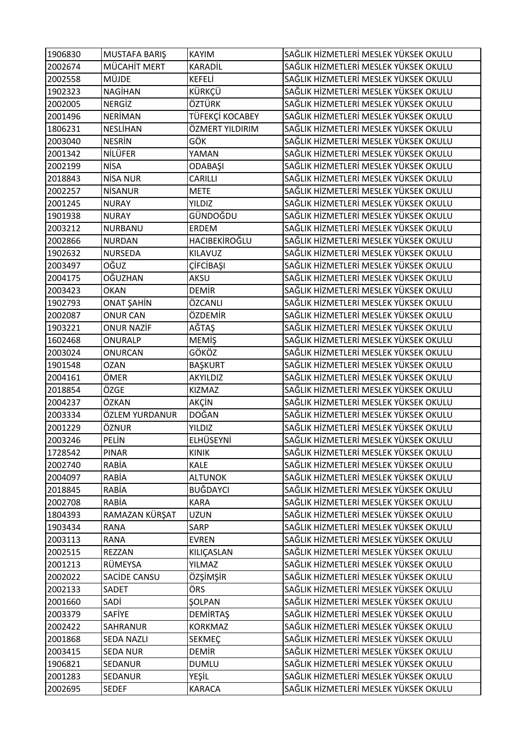| 1906830 | MUSTAFA BARIŞ     | <b>KAYIM</b>    | SAĞLIK HİZMETLERİ MESLEK YÜKSEK OKULU |
|---------|-------------------|-----------------|---------------------------------------|
| 2002674 | MÜCAHİT MERT      | KARADİL         | SAĞLIK HİZMETLERİ MESLEK YÜKSEK OKULU |
| 2002558 | <b>MÜJDE</b>      | KEFELİ          | SAĞLIK HİZMETLERİ MESLEK YÜKSEK OKULU |
| 1902323 | <b>NAGİHAN</b>    | KÜRKÇÜ          | SAĞLIK HİZMETLERİ MESLEK YÜKSEK OKULU |
| 2002005 | <b>NERGIZ</b>     | ÖZTÜRK          | SAĞLIK HİZMETLERİ MESLEK YÜKSEK OKULU |
| 2001496 | <b>NERİMAN</b>    | TÜFEKÇİ KOCABEY | SAĞLIK HİZMETLERİ MESLEK YÜKSEK OKULU |
| 1806231 | NESLİHAN          | ÖZMERT YILDIRIM | SAĞLIK HİZMETLERİ MESLEK YÜKSEK OKULU |
| 2003040 | <b>NESRİN</b>     | GÖK             | SAĞLIK HİZMETLERİ MESLEK YÜKSEK OKULU |
| 2001342 | NİLÜFER           | YAMAN           | SAĞLIK HİZMETLERİ MESLEK YÜKSEK OKULU |
| 2002199 | <b>NİSA</b>       | ODABAŞI         | SAĞLIK HİZMETLERİ MESLEK YÜKSEK OKULU |
| 2018843 | <b>NİSA NUR</b>   | CARILLI         | SAĞLIK HİZMETLERİ MESLEK YÜKSEK OKULU |
| 2002257 | <b>NISANUR</b>    | <b>METE</b>     | SAĞLIK HİZMETLERİ MESLEK YÜKSEK OKULU |
| 2001245 | <b>NURAY</b>      | <b>YILDIZ</b>   | SAĞLIK HİZMETLERİ MESLEK YÜKSEK OKULU |
| 1901938 | <b>NURAY</b>      | GÜNDOĞDU        | SAĞLIK HİZMETLERİ MESLEK YÜKSEK OKULU |
| 2003212 | NURBANU           | ERDEM           | SAĞLIK HİZMETLERİ MESLEK YÜKSEK OKULU |
| 2002866 | <b>NURDAN</b>     | HACIBEKİROĞLU   | SAĞLIK HİZMETLERİ MESLEK YÜKSEK OKULU |
| 1902632 | <b>NURSEDA</b>    | KILAVUZ         | SAĞLIK HİZMETLERİ MESLEK YÜKSEK OKULU |
| 2003497 | OĞUZ              | ÇİFCİBAŞI       | SAĞLIK HİZMETLERİ MESLEK YÜKSEK OKULU |
| 2004175 | OĞUZHAN           | AKSU            | SAĞLIK HİZMETLERİ MESLEK YÜKSEK OKULU |
| 2003423 | <b>OKAN</b>       | <b>DEMIR</b>    | SAĞLIK HİZMETLERİ MESLEK YÜKSEK OKULU |
| 1902793 | ONAT ŞAHİN        | ÖZCANLI         | SAĞLIK HİZMETLERİ MESLEK YÜKSEK OKULU |
| 2002087 | <b>ONUR CAN</b>   | ÖZDEMİR         | SAĞLIK HİZMETLERİ MESLEK YÜKSEK OKULU |
| 1903221 | <b>ONUR NAZİF</b> | AĞTAŞ           | SAĞLIK HİZMETLERİ MESLEK YÜKSEK OKULU |
| 1602468 | ONURALP           | <b>MEMİŞ</b>    | SAĞLIK HİZMETLERİ MESLEK YÜKSEK OKULU |
| 2003024 | <b>ONURCAN</b>    | GÖKÖZ           | SAĞLIK HİZMETLERİ MESLEK YÜKSEK OKULU |
| 1901548 | <b>OZAN</b>       | <b>BAŞKURT</b>  | SAĞLIK HİZMETLERİ MESLEK YÜKSEK OKULU |
| 2004161 | ÖMER              | AKYILDIZ        | SAĞLIK HİZMETLERİ MESLEK YÜKSEK OKULU |
| 2018854 | ÖZGE              | KIZMAZ          | SAĞLIK HİZMETLERİ MESLEK YÜKSEK OKULU |
| 2004237 | ÖZKAN             | AKÇİN           | SAĞLIK HİZMETLERİ MESLEK YÜKSEK OKULU |
| 2003334 | ÖZLEM YURDANUR    | DOĞAN           | SAĞLIK HİZMETLERİ MESLEK YÜKSEK OKULU |
| 2001229 | ÖZNUR             | <b>YILDIZ</b>   | SAĞLIK HİZMETLERİ MESLEK YÜKSEK OKULU |
| 2003246 | PELİN             | ELHÜSEYNİ       | SAĞLIK HİZMETLERİ MESLEK YÜKSEK OKULU |
| 1728542 | PINAR             | <b>KINIK</b>    | SAĞLIK HİZMETLERİ MESLEK YÜKSEK OKULU |
| 2002740 | RABİA             | <b>KALE</b>     | SAĞLIK HİZMETLERİ MESLEK YÜKSEK OKULU |
| 2004097 | RABİA             | <b>ALTUNOK</b>  | SAĞLIK HİZMETLERİ MESLEK YÜKSEK OKULU |
| 2018845 | RABİA             | BUĞDAYCI        | SAĞLIK HİZMETLERİ MESLEK YÜKSEK OKULU |
| 2002708 | RABİA             | <b>KARA</b>     | SAĞLIK HİZMETLERİ MESLEK YÜKSEK OKULU |
| 1804393 | RAMAZAN KÜRŞAT    | <b>UZUN</b>     | SAĞLIK HİZMETLERİ MESLEK YÜKSEK OKULU |
| 1903434 | <b>RANA</b>       | SARP            | SAĞLIK HİZMETLERİ MESLEK YÜKSEK OKULU |
| 2003113 | <b>RANA</b>       | <b>EVREN</b>    | SAĞLIK HİZMETLERİ MESLEK YÜKSEK OKULU |
| 2002515 | <b>REZZAN</b>     | KILIÇASLAN      | SAĞLIK HİZMETLERİ MESLEK YÜKSEK OKULU |
| 2001213 | RÜMEYSA           | YILMAZ          | SAĞLIK HİZMETLERİ MESLEK YÜKSEK OKULU |
| 2002022 | SACIDE CANSU      | ÖZŞİMŞİR        | SAĞLIK HİZMETLERİ MESLEK YÜKSEK OKULU |
| 2002133 | SADET             | ÖRS             | SAĞLIK HİZMETLERİ MESLEK YÜKSEK OKULU |
| 2001660 | SADİ              | <b>ŞOLPAN</b>   | SAĞLIK HİZMETLERİ MESLEK YÜKSEK OKULU |
| 2003379 | SAFİYE            | <b>DEMIRTAŞ</b> | SAĞLIK HİZMETLERİ MESLEK YÜKSEK OKULU |
| 2002422 | SAHRANUR          | <b>KORKMAZ</b>  | SAĞLIK HİZMETLERİ MESLEK YÜKSEK OKULU |
| 2001868 | SEDA NAZLI        | SEKMEÇ          | SAĞLIK HİZMETLERİ MESLEK YÜKSEK OKULU |
| 2003415 | <b>SEDA NUR</b>   | DEMİR           | SAĞLIK HİZMETLERİ MESLEK YÜKSEK OKULU |
| 1906821 | SEDANUR           | DUMLU           | SAĞLIK HİZMETLERİ MESLEK YÜKSEK OKULU |
| 2001283 | SEDANUR           | YEŞİL           | SAĞLIK HİZMETLERİ MESLEK YÜKSEK OKULU |
| 2002695 | <b>SEDEF</b>      | KARACA          | SAĞLIK HİZMETLERİ MESLEK YÜKSEK OKULU |
|         |                   |                 |                                       |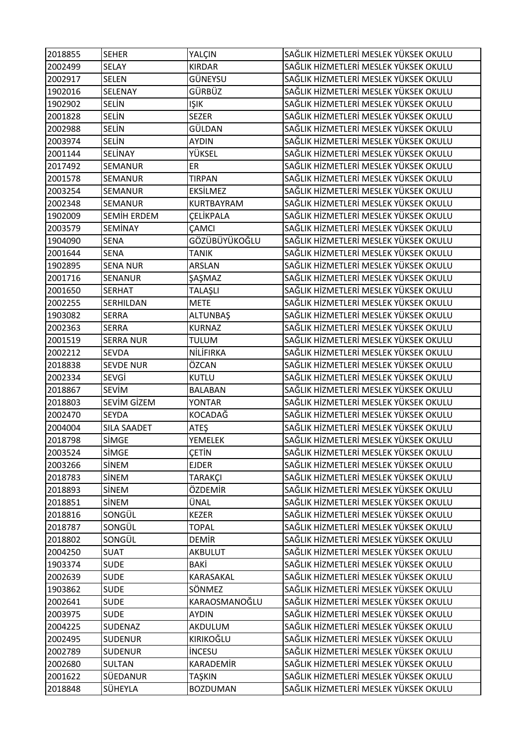| 2018855 | <b>SEHER</b>       | YALÇIN           | SAĞLIK HİZMETLERİ MESLEK YÜKSEK OKULU |
|---------|--------------------|------------------|---------------------------------------|
| 2002499 | SELAY              | <b>KIRDAR</b>    | SAĞLIK HİZMETLERİ MESLEK YÜKSEK OKULU |
| 2002917 | <b>SELEN</b>       | GÜNEYSU          | SAĞLIK HİZMETLERİ MESLEK YÜKSEK OKULU |
| 1902016 | SELENAY            | GÜRBÜZ           | SAĞLIK HİZMETLERİ MESLEK YÜKSEK OKULU |
| 1902902 | <b>SELİN</b>       | <b>IŞIK</b>      | SAĞLIK HİZMETLERİ MESLEK YÜKSEK OKULU |
| 2001828 | <b>SELIN</b>       | <b>SEZER</b>     | SAĞLIK HİZMETLERİ MESLEK YÜKSEK OKULU |
| 2002988 | <b>SELIN</b>       | GÜLDAN           | SAĞLIK HİZMETLERİ MESLEK YÜKSEK OKULU |
| 2003974 | <b>SELİN</b>       | <b>AYDIN</b>     | SAĞLIK HİZMETLERİ MESLEK YÜKSEK OKULU |
| 2001144 | <b>SELİNAY</b>     | YÜKSEL           | SAĞLIK HİZMETLERİ MESLEK YÜKSEK OKULU |
| 2017492 | SEMANUR            | ER               | SAĞLIK HİZMETLERİ MESLEK YÜKSEK OKULU |
| 2001578 | <b>SEMANUR</b>     | <b>TIRPAN</b>    | SAĞLIK HİZMETLERİ MESLEK YÜKSEK OKULU |
| 2003254 | <b>SEMANUR</b>     | EKSİLMEZ         | SAĞLIK HİZMETLERİ MESLEK YÜKSEK OKULU |
| 2002348 | SEMANUR            | KURTBAYRAM       | SAĞLIK HİZMETLERİ MESLEK YÜKSEK OKULU |
| 1902009 | SEMIH ERDEM        | <b>CELİKPALA</b> | SAĞLIK HİZMETLERİ MESLEK YÜKSEK OKULU |
| 2003579 | <b>SEMİNAY</b>     | ÇAMCI            | SAĞLIK HİZMETLERİ MESLEK YÜKSEK OKULU |
| 1904090 | <b>SENA</b>        | GÖZÜBÜYÜKOĞLU    | SAĞLIK HİZMETLERİ MESLEK YÜKSEK OKULU |
| 2001644 | <b>SENA</b>        | <b>TANIK</b>     | SAĞLIK HİZMETLERİ MESLEK YÜKSEK OKULU |
| 1902895 | <b>SENA NUR</b>    | ARSLAN           | SAĞLIK HİZMETLERİ MESLEK YÜKSEK OKULU |
| 2001716 | SENANUR            | ŞAŞMAZ           | SAĞLIK HİZMETLERİ MESLEK YÜKSEK OKULU |
| 2001650 | <b>SERHAT</b>      | TALAŞLI          | SAĞLIK HİZMETLERİ MESLEK YÜKSEK OKULU |
| 2002255 | SERHILDAN          | <b>METE</b>      | SAĞLIK HİZMETLERİ MESLEK YÜKSEK OKULU |
| 1903082 | <b>SERRA</b>       | ALTUNBAŞ         | SAĞLIK HİZMETLERİ MESLEK YÜKSEK OKULU |
| 2002363 | <b>SERRA</b>       | <b>KURNAZ</b>    | SAĞLIK HİZMETLERİ MESLEK YÜKSEK OKULU |
| 2001519 | <b>SERRA NUR</b>   | <b>TULUM</b>     | SAĞLIK HİZMETLERİ MESLEK YÜKSEK OKULU |
| 2002212 | <b>SEVDA</b>       | NİLİFIRKA        | SAĞLIK HİZMETLERİ MESLEK YÜKSEK OKULU |
| 2018838 | <b>SEVDE NUR</b>   | ÖZCAN            | SAĞLIK HİZMETLERİ MESLEK YÜKSEK OKULU |
| 2002334 | SEVGİ              | KUTLU            | SAĞLIK HİZMETLERİ MESLEK YÜKSEK OKULU |
| 2018867 | <b>SEVIM</b>       | <b>BALABAN</b>   | SAĞLIK HİZMETLERİ MESLEK YÜKSEK OKULU |
| 2018803 | SEVİM GİZEM        | <b>YONTAR</b>    | SAĞLIK HİZMETLERİ MESLEK YÜKSEK OKULU |
| 2002470 | <b>SEYDA</b>       | KOCADAĞ          | SAĞLIK HİZMETLERİ MESLEK YÜKSEK OKULU |
| 2004004 | <b>SILA SAADET</b> | ATEŞ             | SAĞLIK HİZMETLERİ MESLEK YÜKSEK OKULU |
| 2018798 | SİMGE              | <b>YEMELEK</b>   | SAĞLIK HİZMETLERİ MESLEK YÜKSEK OKULU |
| 2003524 | SİMGE              | ÇETİN            | SAĞLIK HİZMETLERİ MESLEK YÜKSEK OKULU |
| 2003266 | <b>SİNEM</b>       | <b>EJDER</b>     | SAĞLIK HİZMETLERİ MESLEK YÜKSEK OKULU |
| 2018783 | SİNEM              | <b>TARAKÇI</b>   | SAĞLIK HİZMETLERİ MESLEK YÜKSEK OKULU |
| 2018893 | SİNEM              | ÖZDEMİR          | SAĞLIK HİZMETLERİ MESLEK YÜKSEK OKULU |
| 2018851 | <b>SİNEM</b>       | ÜNAL             | SAĞLIK HİZMETLERİ MESLEK YÜKSEK OKULU |
| 2018816 | SONGÜL             | <b>KEZER</b>     | SAĞLIK HİZMETLERİ MESLEK YÜKSEK OKULU |
| 2018787 | SONGÜL             | <b>TOPAL</b>     | SAĞLIK HİZMETLERİ MESLEK YÜKSEK OKULU |
| 2018802 | SONGÜL             | <b>DEMIR</b>     | SAĞLIK HİZMETLERİ MESLEK YÜKSEK OKULU |
| 2004250 | <b>SUAT</b>        | <b>AKBULUT</b>   | SAĞLIK HİZMETLERİ MESLEK YÜKSEK OKULU |
| 1903374 | <b>SUDE</b>        | BAKİ             | SAĞLIK HİZMETLERİ MESLEK YÜKSEK OKULU |
| 2002639 | <b>SUDE</b>        | KARASAKAL        | SAĞLIK HİZMETLERİ MESLEK YÜKSEK OKULU |
| 1903862 | <b>SUDE</b>        | SÖNMEZ           | SAĞLIK HİZMETLERİ MESLEK YÜKSEK OKULU |
| 2002641 | <b>SUDE</b>        | KARAOSMANOĞLU    | SAĞLIK HİZMETLERİ MESLEK YÜKSEK OKULU |
| 2003975 | <b>SUDE</b>        | <b>AYDIN</b>     | SAĞLIK HİZMETLERİ MESLEK YÜKSEK OKULU |
| 2004225 | SUDENAZ            | AKDULUM          | SAĞLIK HİZMETLERİ MESLEK YÜKSEK OKULU |
| 2002495 | <b>SUDENUR</b>     | KIRIKOĞLU        | SAĞLIK HİZMETLERİ MESLEK YÜKSEK OKULU |
| 2002789 | <b>SUDENUR</b>     | <b>INCESU</b>    | SAĞLIK HİZMETLERİ MESLEK YÜKSEK OKULU |
| 2002680 | <b>SULTAN</b>      | <b>KARADEMİR</b> | SAĞLIK HİZMETLERİ MESLEK YÜKSEK OKULU |
| 2001622 | SÜEDANUR           | TAŞKIN           | SAĞLIK HİZMETLERİ MESLEK YÜKSEK OKULU |
| 2018848 | <b>SÜHEYLA</b>     | <b>BOZDUMAN</b>  | SAĞLIK HİZMETLERİ MESLEK YÜKSEK OKULU |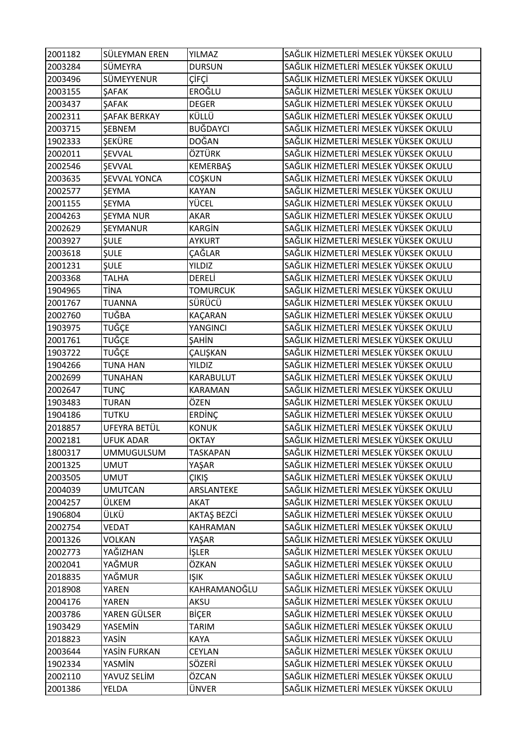| 2001182 | SÜLEYMAN EREN          | YILMAZ             | SAĞLIK HİZMETLERİ MESLEK YÜKSEK OKULU |
|---------|------------------------|--------------------|---------------------------------------|
| 2003284 | SÜMEYRA                | <b>DURSUN</b>      | SAĞLIK HİZMETLERİ MESLEK YÜKSEK OKULU |
| 2003496 | SÜMEYYENUR             | ÇİFÇİ              | SAĞLIK HİZMETLERİ MESLEK YÜKSEK OKULU |
| 2003155 | <b>ŞAFAK</b>           | EROĞLU             | SAĞLIK HİZMETLERİ MESLEK YÜKSEK OKULU |
| 2003437 | <b>ŞAFAK</b>           | <b>DEGER</b>       | SAĞLIK HİZMETLERİ MESLEK YÜKSEK OKULU |
| 2002311 | <b>ŞAFAK BERKAY</b>    | KÜLLÜ              | SAĞLIK HİZMETLERİ MESLEK YÜKSEK OKULU |
| 2003715 | <b>ŞEBNEM</b>          | BUĞDAYCI           | SAĞLIK HİZMETLERİ MESLEK YÜKSEK OKULU |
| 1902333 | <b>SEKÜRE</b>          | DOĞAN              | SAĞLIK HİZMETLERİ MESLEK YÜKSEK OKULU |
| 2002011 | <b>ŞEVVAL</b>          | ÖZTÜRK             | SAĞLIK HİZMETLERİ MESLEK YÜKSEK OKULU |
| 2002546 | <b>SEVVAL</b>          | KEMERBAŞ           | SAĞLIK HİZMETLERİ MESLEK YÜKSEK OKULU |
| 2003635 | <b>ŞEVVAL YONCA</b>    | COŞKUN             | SAĞLIK HİZMETLERİ MESLEK YÜKSEK OKULU |
| 2002577 | <b>ŞEYMA</b>           | <b>KAYAN</b>       | SAĞLIK HİZMETLERİ MESLEK YÜKSEK OKULU |
| 2001155 | <b>ŞEYMA</b>           | YÜCEL              | SAĞLIK HİZMETLERİ MESLEK YÜKSEK OKULU |
| 2004263 | <b>ŞEYMA NUR</b>       | AKAR               | SAĞLIK HİZMETLERİ MESLEK YÜKSEK OKULU |
| 2002629 | <b><i>ŞEYMANUR</i></b> | <b>KARGİN</b>      | SAĞLIK HİZMETLERİ MESLEK YÜKSEK OKULU |
| 2003927 | <b>SULE</b>            | <b>AYKURT</b>      | SAĞLIK HİZMETLERİ MESLEK YÜKSEK OKULU |
| 2003618 | <b>ŞULE</b>            | ÇAĞLAR             | SAĞLIK HİZMETLERİ MESLEK YÜKSEK OKULU |
| 2001231 | <b>ŞULE</b>            | <b>YILDIZ</b>      | SAĞLIK HİZMETLERİ MESLEK YÜKSEK OKULU |
| 2003368 | <b>TALHA</b>           | DERELİ             | SAĞLIK HİZMETLERİ MESLEK YÜKSEK OKULU |
| 1904965 | <b>TİNA</b>            | <b>TOMURCUK</b>    | SAĞLIK HİZMETLERİ MESLEK YÜKSEK OKULU |
| 2001767 | <b>TUANNA</b>          | SÜRÜCÜ             | SAĞLIK HİZMETLERİ MESLEK YÜKSEK OKULU |
| 2002760 | TUĞBA                  | KAÇARAN            | SAĞLIK HİZMETLERİ MESLEK YÜKSEK OKULU |
| 1903975 | <b>TUĞÇE</b>           | YANGINCI           | SAĞLIK HİZMETLERİ MESLEK YÜKSEK OKULU |
| 2001761 | TUĞÇE                  | ŞAHİN              | SAĞLIK HİZMETLERİ MESLEK YÜKSEK OKULU |
| 1903722 | TUĞÇE                  | ÇALIŞKAN           | SAĞLIK HİZMETLERİ MESLEK YÜKSEK OKULU |
| 1904266 | <b>TUNA HAN</b>        | <b>YILDIZ</b>      | SAĞLIK HİZMETLERİ MESLEK YÜKSEK OKULU |
| 2002699 | TUNAHAN                | KARABULUT          | SAĞLIK HİZMETLERİ MESLEK YÜKSEK OKULU |
| 2002647 | <b>TUNÇ</b>            | KARAMAN            | SAĞLIK HİZMETLERİ MESLEK YÜKSEK OKULU |
| 1903483 | <b>TURAN</b>           | ÖZEN               | SAĞLIK HİZMETLERİ MESLEK YÜKSEK OKULU |
| 1904186 | <b>TUTKU</b>           | ERDİNÇ             | SAĞLIK HİZMETLERİ MESLEK YÜKSEK OKULU |
| 2018857 | UFEYRA BETÜL           | <b>KONUK</b>       | SAĞLIK HİZMETLERİ MESLEK YÜKSEK OKULU |
| 2002181 | <b>UFUK ADAR</b>       | <b>OKTAY</b>       | SAĞLIK HİZMETLERİ MESLEK YÜKSEK OKULU |
| 1800317 | <b>UMMUGULSUM</b>      | <b>TASKAPAN</b>    | SAĞLIK HİZMETLERİ MESLEK YÜKSEK OKULU |
| 2001325 | <b>UMUT</b>            | YAŞAR              | SAĞLIK HİZMETLERİ MESLEK YÜKSEK OKULU |
| 2003505 | <b>UMUT</b>            | ÇIKIŞ              | SAĞLIK HİZMETLERİ MESLEK YÜKSEK OKULU |
| 2004039 | <b>UMUTCAN</b>         | ARSLANTEKE         | SAĞLIK HİZMETLERİ MESLEK YÜKSEK OKULU |
| 2004257 | ÜLKEM                  | AKAT               | SAĞLIK HİZMETLERİ MESLEK YÜKSEK OKULU |
| 1906804 | ÜLKÜ                   | <b>AKTAŞ BEZCİ</b> | SAĞLIK HİZMETLERİ MESLEK YÜKSEK OKULU |
| 2002754 | <b>VEDAT</b>           | KAHRAMAN           | SAĞLIK HİZMETLERİ MESLEK YÜKSEK OKULU |
| 2001326 | <b>VOLKAN</b>          | YAŞAR              | SAĞLIK HİZMETLERİ MESLEK YÜKSEK OKULU |
| 2002773 | YAĞIZHAN               | İŞLER              | SAĞLIK HİZMETLERİ MESLEK YÜKSEK OKULU |
| 2002041 | YAĞMUR                 | ÖZKAN              | SAĞLIK HİZMETLERİ MESLEK YÜKSEK OKULU |
| 2018835 | YAĞMUR                 | <b>IŞIK</b>        | SAĞLIK HİZMETLERİ MESLEK YÜKSEK OKULU |
| 2018908 | <b>YAREN</b>           | KAHRAMANOĞLU       | SAĞLIK HİZMETLERİ MESLEK YÜKSEK OKULU |
| 2004176 | YAREN                  | AKSU               | SAĞLIK HİZMETLERİ MESLEK YÜKSEK OKULU |
| 2003786 | YAREN GÜLSER           | <b>BİÇER</b>       | SAĞLIK HİZMETLERİ MESLEK YÜKSEK OKULU |
| 1903429 | YASEMİN                | <b>TARIM</b>       | SAĞLIK HİZMETLERİ MESLEK YÜKSEK OKULU |
| 2018823 | YASİN                  | <b>KAYA</b>        | SAĞLIK HİZMETLERİ MESLEK YÜKSEK OKULU |
| 2003644 | YASİN FURKAN           | CEYLAN             | SAĞLIK HİZMETLERİ MESLEK YÜKSEK OKULU |
| 1902334 | YASMİN                 | SÖZERİ             | SAĞLIK HİZMETLERİ MESLEK YÜKSEK OKULU |
| 2002110 | YAVUZ SELİM            | ÖZCAN              | SAĞLIK HİZMETLERİ MESLEK YÜKSEK OKULU |
| 2001386 | YELDA                  | ÜNVER              | SAĞLIK HİZMETLERİ MESLEK YÜKSEK OKULU |